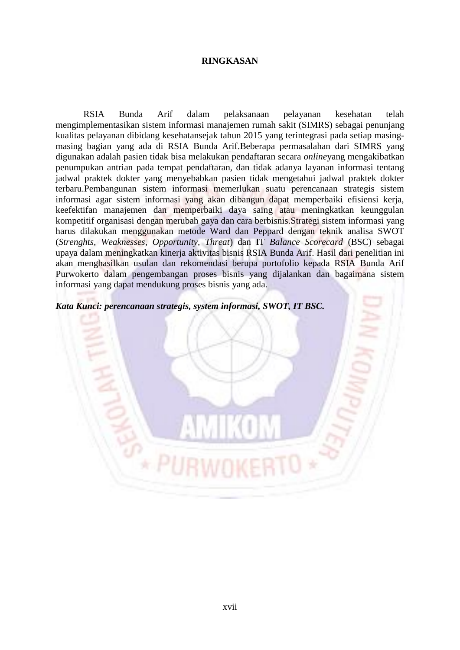## **RINGKASAN**

RSIA Bunda Arif dalam pelaksanaan pelayanan kesehatan telah mengimplementasikan sistem informasi manajemen rumah sakit (SIMRS) sebagai penunjang kualitas pelayanan dibidang kesehatansejak tahun 2015 yang terintegrasi pada setiap masingmasing bagian yang ada di RSIA Bunda Arif.Beberapa permasalahan dari SIMRS yang digunakan adalah pasien tidak bisa melakukan pendaftaran secara *online*yang mengakibatkan penumpukan antrian pada tempat pendaftaran*,* dan tidak adanya layanan informasi tentang jadwal praktek dokter yang menyebabkan pasien tidak mengetahui jadwal praktek dokter terbaru.Pembangunan sistem informasi memerlukan suatu perencanaan strategis sistem informasi agar sistem informasi yang akan dibangun dapat memperbaiki efisiensi kerja, keefektifan manajemen dan memperbaiki daya saing atau meningkatkan keunggulan kompetitif organisasi dengan merubah gaya dan cara berbisnis.Strategi sistem informasi yang harus dilakukan menggunakan metode Ward dan Peppard dengan teknik analisa SWOT (*Strenghts, Weaknesses, Opportunity, Threat*) dan IT *Balance Scorecard* (BSC) sebagai upaya dalam meningkatkan kinerja aktivitas bisnis RSIA Bunda Arif. Hasil dari penelitian ini akan menghasilkan usulan dan rekomendasi berupa portofolio kepada RSIA Bunda Arif Purwokerto dalam pengembangan proses bisnis yang dijalankan dan bagaimana sistem informasi yang dapat mendukung proses bisnis yang ada.